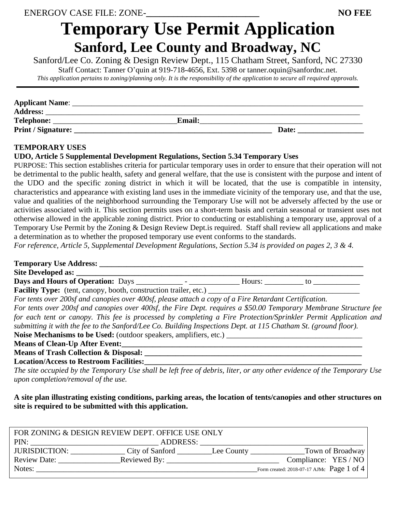# **Temporary Use Permit Application Sanford, Lee County and Broadway, NC**

Sanford/Lee Co. Zoning & Design Review Dept., 115 Chatham Street, Sanford, NC 27330

Staff Contact: Tanner O'quin at 919-718-4656, Ext. 5398 or tanner.oquin@sanfordnc.net.

*This application pertains to zoning/planning only. It is the responsibility of the application to secure all required approvals.*

| <b>Applicant Name:</b> |               |       |  |
|------------------------|---------------|-------|--|
| <b>Address:</b>        |               |       |  |
| Telephone:             | <b>Email:</b> |       |  |
| Print / Signature:     |               | Date: |  |

## **TEMPORARY USES**

## **UDO, Article 5 Supplemental Development Regulations, Section 5.34 Temporary Uses**

PURPOSE: This section establishes criteria for particular temporary uses in order to ensure that their operation will not be detrimental to the public health, safety and general welfare, that the use is consistent with the purpose and intent of the UDO and the specific zoning district in which it will be located, that the use is compatible in intensity, characteristics and appearance with existing land uses in the immediate vicinity of the temporary use, and that the use, value and qualities of the neighborhood surrounding the Temporary Use will not be adversely affected by the use or activities associated with it. This section permits uses on a short-term basis and certain seasonal or transient uses not otherwise allowed in the applicable zoning district. Prior to conducting or establishing a temporary use, approval of a Temporary Use Permit by the Zoning & Design Review Dept.is required. Staff shall review all applications and make a determination as to whether the proposed temporary use event conforms to the standards.

*For reference, Article 5, Supplemental Development Regulations, Section 5.34 is provided on pages 2, 3 & 4.*

| <b>Temporary Use Address:</b>                                                                                    |
|------------------------------------------------------------------------------------------------------------------|
| Site Developed as:                                                                                               |
|                                                                                                                  |
| <b>Facility Type:</b> (tent, canopy, booth, construction trailer, etc.) ______________                           |
| For tents over 200sf and canopies over 400sf, please attach a copy of a Fire Retardant Certification.            |
| For tents over 200sf and canopies over 400sf, the Fire Dept. requires a \$50.00 Temporary Membrane Structure fee |
| for each tent or canopy. This fee is processed by completing a Fire Protection/Sprinkler Permit Application and  |
| submitting it with the fee to the Sanford/Lee Co. Building Inspections Dept. at 115 Chatham St. (ground floor).  |
|                                                                                                                  |
| <b>Means of Clean-Up After Event:</b>                                                                            |
| <b>Means of Trash Collection &amp; Disposal:</b>                                                                 |
| <b>Location/Access to Restroom Facilities:</b>                                                                   |
|                                                                                                                  |

*The site occupied by the Temporary Use shall be left free of debris, liter, or any other evidence of the Temporary Use upon completion/removal of the use.* 

**A site plan illustrating existing conditions, parking areas, the location of tents/canopies and other structures on site is required to be submitted with this application.**

| FOR ZONING & DESIGN REVIEW DEPT. OFFICE USE ONLY |                 |  |                                           |  |  |
|--------------------------------------------------|-----------------|--|-------------------------------------------|--|--|
| PIN:                                             | ADDRESS:        |  |                                           |  |  |
| <b>JURISDICTION:</b>                             | City of Sanford |  |                                           |  |  |
| <b>Review Date:</b>                              |                 |  | Compliance: YES / NO                      |  |  |
| Notes:                                           |                 |  | Form created: 2018-07-17 AJMc Page 1 of 4 |  |  |
|                                                  |                 |  |                                           |  |  |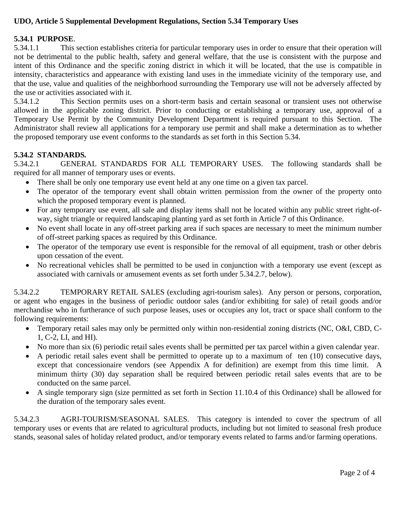# **UDO, Article 5 Supplemental Development Regulations, Section 5.34 Temporary Uses**

## **5.34.1 PURPOSE***.*

5.34.1.1 This section establishes criteria for particular temporary uses in order to ensure that their operation will not be detrimental to the public health, safety and general welfare, that the use is consistent with the purpose and intent of this Ordinance and the specific zoning district in which it will be located, that the use is compatible in intensity, characteristics and appearance with existing land uses in the immediate vicinity of the temporary use, and that the use, value and qualities of the neighborhood surrounding the Temporary use will not be adversely affected by the use or activities associated with it.

5.34.1.2 This Section permits uses on a short-term basis and certain seasonal or transient uses not otherwise allowed in the applicable zoning district. Prior to conducting or establishing a temporary use, approval of a Temporary Use Permit by the Community Development Department is required pursuant to this Section. The Administrator shall review all applications for a temporary use permit and shall make a determination as to whether the proposed temporary use event conforms to the standards as set forth in this Section 5.34.

#### **5.34.2 STANDARDS***.*

5.34.2.1 GENERAL STANDARDS FOR ALL TEMPORARY USES. The following standards shall be required for all manner of temporary uses or events.

- There shall be only one temporary use event held at any one time on a given tax parcel.
- The operator of the temporary event shall obtain written permission from the owner of the property onto which the proposed temporary event is planned.
- For any temporary use event, all sale and display items shall not be located within any public street right-ofway, sight triangle or required landscaping planting yard as set forth in Article 7 of this Ordinance.
- No event shall locate in any off-street parking area if such spaces are necessary to meet the minimum number of off-street parking spaces as required by this Ordinance.
- The operator of the temporary use event is responsible for the removal of all equipment, trash or other debris upon cessation of the event.
- No recreational vehicles shall be permitted to be used in conjunction with a temporary use event (except as associated with carnivals or amusement events as set forth under 5.34.2.7, below).

5.34.2.2 TEMPORARY RETAIL SALES (excluding agri-tourism sales). Any person or persons, corporation, or agent who engages in the business of periodic outdoor sales (and/or exhibiting for sale) of retail goods and/or merchandise who in furtherance of such purpose leases, uses or occupies any lot, tract or space shall conform to the following requirements:

- Temporary retail sales may only be permitted only within non-residential zoning districts (NC, O&I, CBD, C-1, C-2, LI, and HI).
- No more than six (6) periodic retail sales events shall be permitted per tax parcel within a given calendar year.
- A periodic retail sales event shall be permitted to operate up to a maximum of ten (10) consecutive days, except that concessionaire vendors (see Appendix A for definition) are exempt from this time limit. A minimum thirty (30) day separation shall be required between periodic retail sales events that are to be conducted on the same parcel.
- A single temporary sign (size permitted as set forth in Section 11.10.4 of this Ordinance) shall be allowed for the duration of the temporary sales event.

5.34.2.3 AGRI-TOURISM/SEASONAL SALES. This category is intended to cover the spectrum of all temporary uses or events that are related to agricultural products, including but not limited to seasonal fresh produce stands, seasonal sales of holiday related product, and/or temporary events related to farms and/or farming operations.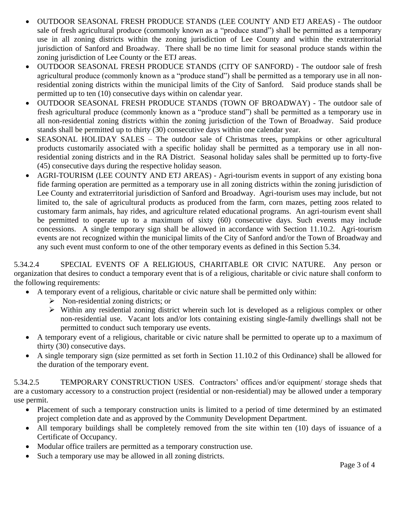- OUTDOOR SEASONAL FRESH PRODUCE STANDS (LEE COUNTY AND ETJ AREAS) The outdoor sale of fresh agricultural produce (commonly known as a "produce stand") shall be permitted as a temporary use in all zoning districts within the zoning jurisdiction of Lee County and within the extraterritorial jurisdiction of Sanford and Broadway. There shall be no time limit for seasonal produce stands within the zoning jurisdiction of Lee County or the ETJ areas.
- OUTDOOR SEASONAL FRESH PRODUCE STANDS (CITY OF SANFORD) The outdoor sale of fresh agricultural produce (commonly known as a "produce stand") shall be permitted as a temporary use in all nonresidential zoning districts within the municipal limits of the City of Sanford. Said produce stands shall be permitted up to ten (10) consecutive days within on calendar year.
- OUTDOOR SEASONAL FRESH PRODUCE STANDS (TOWN OF BROADWAY) The outdoor sale of fresh agricultural produce (commonly known as a "produce stand") shall be permitted as a temporary use in all non-residential zoning districts within the zoning jurisdiction of the Town of Broadway. Said produce stands shall be permitted up to thirty (30) consecutive days within one calendar year.
- SEASONAL HOLIDAY SALES The outdoor sale of Christmas trees, pumpkins or other agricultural products customarily associated with a specific holiday shall be permitted as a temporary use in all nonresidential zoning districts and in the RA District. Seasonal holiday sales shall be permitted up to forty-five (45) consecutive days during the respective holiday season.
- AGRI-TOURISM (LEE COUNTY AND ETJ AREAS) Agri-tourism events in support of any existing bona fide farming operation are permitted as a temporary use in all zoning districts within the zoning jurisdiction of Lee County and extraterritorial jurisdiction of Sanford and Broadway. Agri-tourism uses may include, but not limited to, the sale of agricultural products as produced from the farm, corn mazes, petting zoos related to customary farm animals, hay rides, and agriculture related educational programs. An agri-tourism event shall be permitted to operate up to a maximum of sixty (60) consecutive days. Such events may include concessions. A single temporary sign shall be allowed in accordance with Section 11.10.2. Agri-tourism events are not recognized within the municipal limits of the City of Sanford and/or the Town of Broadway and any such event must conform to one of the other temporary events as defined in this Section 5.34.

5.34.2.4 SPECIAL EVENTS OF A RELIGIOUS, CHARITABLE OR CIVIC NATURE. Any person or organization that desires to conduct a temporary event that is of a religious, charitable or civic nature shall conform to the following requirements:

- A temporary event of a religious, charitable or civic nature shall be permitted only within:
	- ➢ Non-residential zoning districts; or
	- ➢ Within any residential zoning district wherein such lot is developed as a religious complex or other non-residential use. Vacant lots and/or lots containing existing single-family dwellings shall not be permitted to conduct such temporary use events.
- A temporary event of a religious, charitable or civic nature shall be permitted to operate up to a maximum of thirty (30) consecutive days.
- A single temporary sign (size permitted as set forth in Section 11.10.2 of this Ordinance) shall be allowed for the duration of the temporary event.

5.34.2.5 TEMPORARY CONSTRUCTION USES. Contractors' offices and/or equipment/ storage sheds that are a customary accessory to a construction project (residential or non-residential) may be allowed under a temporary use permit.

- Placement of such a temporary construction units is limited to a period of time determined by an estimated project completion date and as approved by the Community Development Department.
- All temporary buildings shall be completely removed from the site within ten (10) days of issuance of a Certificate of Occupancy.
- Modular office trailers are permitted as a temporary construction use.
- Such a temporary use may be allowed in all zoning districts.